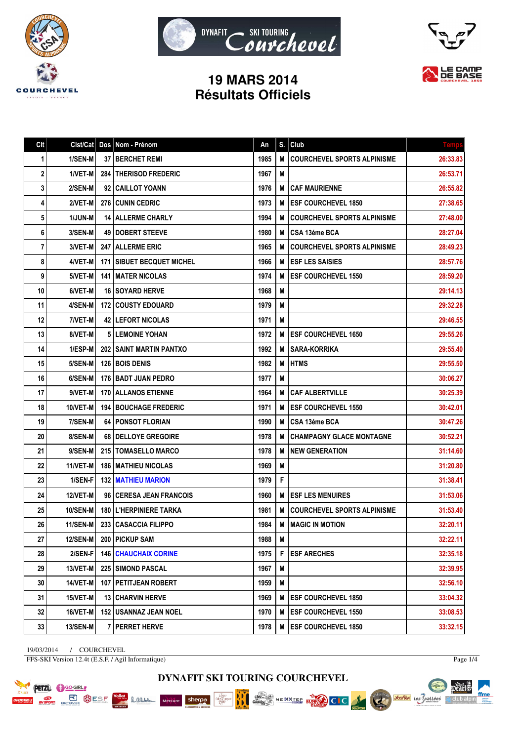





## **19 MARS 2014 Résultats Officiels**

| Cl <sub>t</sub> | Clst/Cat        | Dos | Nom - Prénom                       | An   | S. | Club                               | <b>Temps</b> |
|-----------------|-----------------|-----|------------------------------------|------|----|------------------------------------|--------------|
| 1               | 1/SEN-M         |     | <b>37 I BERCHET REMI</b>           | 1985 | M  | <b>COURCHEVEL SPORTS ALPINISME</b> | 26:33.83     |
| 2               | 1/VET-M         |     | 284 THERISOD FREDERIC              | 1967 | М  |                                    | 26:53.71     |
| 3               | 2/SEN-M         |     | 92   CAILLOT YOANN                 | 1976 | M  | <b>CAF MAURIENNE</b>               | 26:55.82     |
| 4               | 2/VET-M         |     | <b>276 CUNIN CEDRIC</b>            | 1973 | M  | <b>ESF COURCHEVEL 1850</b>         | 27:38.65     |
| 5               | 1/JUN-M         |     | <b>14 ALLERME CHARLY</b>           | 1994 | М  | <b>COURCHEVEL SPORTS ALPINISME</b> | 27:48.00     |
| 6               | 3/SEN-M         |     | <b>49   DOBERT STEEVE</b>          | 1980 | M  | CSA 13éme BCA                      | 28:27.04     |
| 7               | 3/VET-M         |     | <b>247   ALLERME ERIC</b>          | 1965 | М  | <b>COURCHEVEL SPORTS ALPINISME</b> | 28:49.23     |
| 8               | 4/VET-M         |     | <b>171   SIBUET BECQUET MICHEL</b> | 1966 | M  | <b>ESF LES SAISIES</b>             | 28:57.76     |
| 9               | 5/VET-M         |     | <b>141 IMATER NICOLAS</b>          | 1974 | M  | <b>ESF COURCHEVEL 1550</b>         | 28:59.20     |
| 10              | 6/VET-M         |     | <b>16 ISOYARD HERVE</b>            | 1968 | M  |                                    | 29:14.13     |
| 11              | 4/SEN-M         |     | <b>172 COUSTY EDOUARD</b>          | 1979 | M  |                                    | 29:32.28     |
| 12              | 7/VET-M         |     | <b>42 ILEFORT NICOLAS</b>          | 1971 | M  |                                    | 29:46.55     |
| 13              | 8/VET-M         |     | <b>5 LEMOINE YOHAN</b>             | 1972 | M  | <b>ESF COURCHEVEL 1650</b>         | 29:55.26     |
| 14              | 1/ESP-M         |     | <b>202 I SAINT MARTIN PANTXO</b>   | 1992 | M  | <b>SARA-KORRIKA</b>                | 29:55.40     |
| 15              | 5/SEN-M         |     | <b>126 BOIS DENIS</b>              | 1982 | M  | <b>HTMS</b>                        | 29:55.50     |
| 16              | 6/SEN-M         |     | 176   BADT JUAN PEDRO              | 1977 | M  |                                    | 30:06.27     |
| 17              | 9/VET-M         |     | <b>170 ALLANOS ETIENNE</b>         | 1964 | M  | <b>CAF ALBERTVILLE</b>             | 30:25.39     |
| 18              | 10/VET-M        |     | <b>194   BOUCHAGE FREDERIC</b>     | 1971 | М  | <b>ESF COURCHEVEL 1550</b>         | 30:42.01     |
| 19              | 7/SEN-M         |     | <b>64   PONSOT FLORIAN</b>         | 1990 | M  | CSA 13éme BCA                      | 30:47.26     |
| 20              | 8/SEN-M         |     | 68 DELLOYE GREGOIRE                | 1978 | M  | <b>CHAMPAGNY GLACE MONTAGNE</b>    | 30:52.21     |
| 21              | 9/SEN-M         |     | <b>215   TOMASELLO MARCO</b>       | 1978 | M  | <b>NEW GENERATION</b>              | 31:14.60     |
| 22              | 11/VET-M        |     | <b>186   MATHIEU NICOLAS</b>       | 1969 | М  |                                    | 31:20.80     |
| 23              | 1/SEN-F         |     | <b>132 IMATHIEU MARION</b>         | 1979 | F  |                                    | 31:38.41     |
| 24              | 12/VET-M        |     | 96 CERESA JEAN FRANCOIS            | 1960 | M  | <b>ESF LES MENUIRES</b>            | 31:53.06     |
| 25              | 10/SEN-M        |     | <b>180   L'HERPINIERE TARKA</b>    | 1981 | M  | <b>COURCHEVEL SPORTS ALPINISME</b> | 31:53.40     |
| 26              | <b>11/SEN-M</b> |     | 233   CASACCIA FILIPPO             | 1984 | М  | <b>MAGIC IN MOTION</b>             | 32:20.11     |
| 27              | <b>12/SEN-M</b> |     | 200 PICKUP SAM                     | 1988 | M  |                                    | 32:22.11     |
| 28              | 2/SEN-F         |     | <b>146   CHAUCHAIX CORINE</b>      | 1975 | F  | <b>ESF ARECHES</b>                 | 32:35.18     |
| 29              | 13/VET-M        |     | <b>225 SIMOND PASCAL</b>           | 1967 | M  |                                    | 32:39.95     |
| 30              | <b>14/VET-M</b> |     | <b>107   PETITJEAN ROBERT</b>      | 1959 | M  |                                    | 32:56.10     |
| 31              | 15/VET-M        |     | 13 CHARVIN HERVE                   | 1969 | M  | <b>ESF COURCHEVEL 1850</b>         | 33:04.32     |
| 32              | 16/VET-M        |     | <b>152   USANNAZ JEAN NOEL</b>     | 1970 | M  | <b>ESF COURCHEVEL 1550</b>         | 33:08.53     |
| 33              | <b>13/SEN-M</b> |     | 7   PERRET HERVE                   | 1978 | M  | <b>ESF COURCHEVEL 1850</b>         | 33:32.15     |

19/03/2014 / COURCHEVEL FFS-SKI Version 12.4t (E.S.F. / Agil Informatique)

**PETZL C** GO-GIRL

**POSTER BUSICIES** 

Lamen

Page 1/4







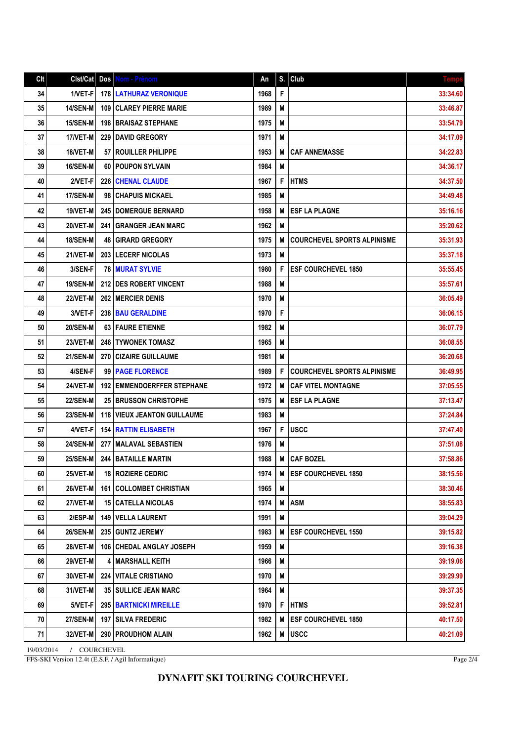## Clt Clst/Cat Dos Nom - Prénom An S. Club Temps 34 1/VET-F 178 LATHURAZ VERONIQUE 1968 F 33:34.60 35 14/SEN-M | 109 | CLAREY PIERRE MARIE | 1989 | M | 1989 | M | 33:46.87 36 15/SEN-M 198 BRAISAZ STEPHANE 1975 M 33:54.79 1975 M 33:54.79 37 17/VET-M 229 DAVID GREGORY 1971 M 34:17.09 38 | 18/VET-M | 57 ROUILLER PHILIPPE | 1953 | M | CAF ANNEMASSE | 1953 | 1953 | M | CAF ANNEMASSE | 34:22.83 39 | 16/SEN-M | 60 | POUPON SYLVAIN | 1984 | M | 34:36.17 40 2/VET-F 226 CHENAL CLAUDE 1967 F HTMS 34:37.50 41 | 17/SEN-M 98 | CHAPUIS MICKAEL 1985 | M 34:49.48 | 1985 | M | 34:49.48 42 | 19/VET-M | 245 | DOMERGUE BERNARD | 1958 | 1958 | M | ESF LA PLAGNE | 35:16.16 43 20/VET-M 241 GRANGER JEAN MARC 1962 M 35:20.62 44 18/SEN-M 48 GIRARD GREGORY 1975 | M COURCHEVEL SPORTS ALPINISME | 35:31.93 45 21/VET-M 203 LECERF NICOLAS 1973 M 35:37.18 46 3/SEN-F 78 MURAT SYLVIE 1980 F ESF COURCHEVEL 1850 35:55.45 47 | 19/SEN-M | 212 | DES ROBERT VINCENT | 1988 | M | 35:57.61 48 | 22/VET-M | 262 |MERCIER DENIS | 36:05.49 | 1970 | M | 36:05.49 | 36:05.49 49 3/VET-F 238 BAU GERALDINE 1970 F 36:06.15 50 20/SEN-M 63 FAURE ETIENNE 1982 M 36:07.79 36:07.79 51 23/VET-M 246 TYWONEK TOMASZ 1965 M 36:08.55 52 21/SEN-M 270 CIZAIRE GUILLAUME 20 1981 M 53 4/SEN-F 99 PAGE FLORENCE 1989 F COURCHEVEL SPORTS ALPINISME 36:49.95 54 24/VET-M | 192 EMMENDOERFFER STEPHANE 1972 | M CAF VITEL MONTAGNE | 37:05.55 55 22/SEN-M 25 BRUSSON CHRISTOPHE 1975 M ESF LA PLAGNE 22/SEN-M 37:13.47 56 23/SEN-M 118 VIEUX JEANTON GUILLAUME 1983 M 37:24.84 57 4/VET-F 154 RATTIN ELISABETH 1967 F USCC 37:47.40 58 24/SEN-M 277 MALAVAL SEBASTIEN 1976 M 37:51.08 59 25/SEN-M 244 BATAILLE MARTIN 1988 M CAF BOZEL 37:58.86 60 25/VET-M 18 ROZIERE CEDRIC 1974 M ESF COURCHEVEL 1850 38:15.56 61 26/VET-M 161 COLLOMBET CHRISTIAN 1965 M 38:30.46 62 27/VET-M 15 CATELLA NICOLAS 1974 M ASM 38:55.83 63 2/ESP-M 149 VELLA LAURENT 1991 M 39:04.29 64 26/SEN-M 235 GUNTZ JEREMY 1983 M ESF COURCHEVEL 1550 39:15.82 65 28/VET-M | 106 CHEDAL ANGLAY JOSEPH | 1959 | M | 1959 | M | 1959 | M | 28/VET-M | 196 | 39:16.38 66 29/VET-M 4 MARSHALL KEITH 1966 M 39:19.06 M 39:19.06 67 30/VET-M 224 VITALE CRISTIANO 1970 M 39:29.99 39:29.99 68 31/VET-M 35 SULLICE JEAN MARC 1964 M 39:37.35 69 5/VET-F 295 BARTNICKI MIREILLE 1970 F HTMS 1970 1970 1971 1970 1989 1999 1999 1999 1999 1999 199 70 27/SEN-M 197 SILVA FREDERIC 1982 M ESF COURCHEVEL 1850 27/SEN-M 40:17.50 71 32/VET-M 290 PROUDHOM ALAIN 1962 M USCC 40:21.09

19/03/2014 / COURCHEVEL FFS-SKI Version 12.4t (E.S.F. / Agil Informatique)

Page 2/4

## **DYNAFIT SKI TOURING COURCHEVEL**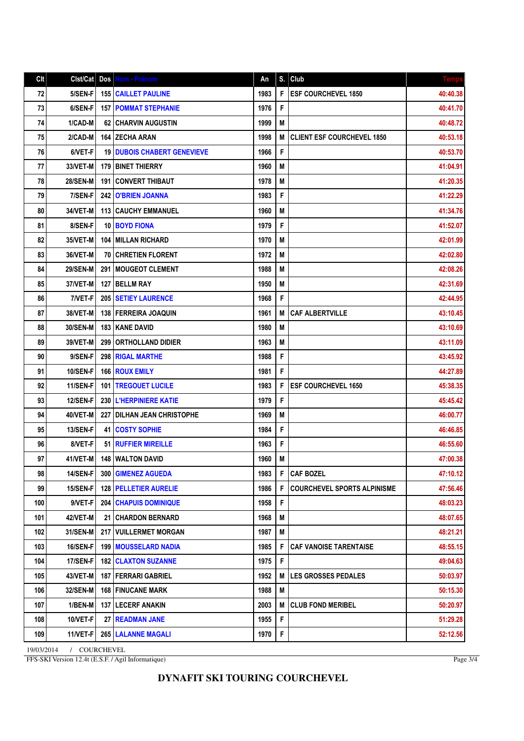| Clt | Clst/Cat        |      | Dos   Nom - Prénom                  | An   | S. | Club                               | <b>Temps</b> |
|-----|-----------------|------|-------------------------------------|------|----|------------------------------------|--------------|
| 72  | 5/SEN-F         |      | 155 CAILLET PAULINE                 | 1983 | F  | <b>ESF COURCHEVEL 1850</b>         | 40:40.38     |
| 73  | 6/SEN-F         |      | <b>157   POMMAT STEPHANIE</b>       | 1976 | F  |                                    | 40:41.70     |
| 74  | 1/CAD-M         |      | 62 CHARVIN AUGUSTIN                 | 1999 | M  |                                    | 40:48.72     |
| 75  | 2/CAD-M         |      | <b>164 IZECHA ARAN</b>              | 1998 | M  | <b>CLIENT ESF COURCHEVEL 1850</b>  | 40:53.18     |
| 76  | 6/VET-F         |      | <b>19 DUBOIS CHABERT GENEVIEVE</b>  | 1966 | F  |                                    | 40:53.70     |
| 77  | 33/VET-M        |      | <b>179   BINET THIERRY</b>          | 1960 | M  |                                    | 41:04.91     |
| 78  | <b>28/SEN-M</b> | 191  | <b>CONVERT THIBAUT</b>              | 1978 | M  |                                    | 41:20.35     |
| 79  | 7/SEN-F         | 242  | <b>O'BRIEN JOANNA</b>               | 1983 | F  |                                    | 41:22.29     |
| 80  | 34/VET-M        |      | <b>113   CAUCHY EMMANUEL</b>        | 1960 | M  |                                    | 41:34.76     |
| 81  | 8/SEN-F         |      | <b>10 BOYD FIONA</b>                | 1979 | F  |                                    | 41:52.07     |
| 82  | 35/VET-M        |      | 104 MILLAN RICHARD                  | 1970 | M  |                                    | 42:01.99     |
| 83  | 36/VET-M        | 70 I | <b>CHRETIEN FLORENT</b>             | 1972 | M  |                                    | 42:02.80     |
| 84  | <b>29/SEN-M</b> | 291  | <b>IMOUGEOT CLEMENT</b>             | 1988 | M  |                                    | 42:08.26     |
| 85  | 37/VET-M        | 127  | <b>BELLM RAY</b>                    | 1950 | M  |                                    | 42:31.69     |
| 86  | 7/VET-F         |      | <b>205   SETIEY LAURENCE</b>        | 1968 | F  |                                    | 42:44.95     |
| 87  | 38/VET-M        |      | <b>138 FERREIRA JOAQUIN</b>         | 1961 | M  | <b>CAF ALBERTVILLE</b>             | 43:10.45     |
| 88  | 30/SEN-M        |      | <b>183   KANE DAVID</b>             | 1980 | M  |                                    | 43:10.69     |
| 89  | 39/VET-M        | 299  | <b>ORTHOLLAND DIDIER</b>            | 1963 | M  |                                    | 43:11.09     |
| 90  | 9/SEN-F         | 298  | <b>RIGAL MARTHE</b>                 | 1988 | F  |                                    | 43:45.92     |
| 91  | <b>10/SEN-F</b> |      | 166 ROUX EMILY                      | 1981 | F  |                                    | 44:27.89     |
| 92  | <b>11/SEN-F</b> | 101  | <b>TREGOUET LUCILE</b>              | 1983 | F  | <b>ESF COURCHEVEL 1650</b>         | 45:38.35     |
| 93  | 12/SEN-F        |      | 230   L'HERPINIERE KATIE            | 1979 | F  |                                    | 45:45.42     |
| 94  | 40/VET-M        |      | <b>227   DILHAN JEAN CHRISTOPHE</b> | 1969 | M  |                                    | 46:00.77     |
| 95  | 13/SEN-F        | 41   | <b>COSTY SOPHIE</b>                 | 1984 | F  |                                    | 46:46.85     |
| 96  | 8/VET-F         | 51   | <b>RUFFIER MIREILLE</b>             | 1963 | F  |                                    | 46:55.60     |
| 97  | 41/VET-M        | 148  | WALTON DAVID                        | 1960 | M  |                                    | 47:00.38     |
| 98  | 14/SEN-F        |      | 300 GIMENEZ AGUEDA                  | 1983 | F  | <b>CAF BOZEL</b>                   | 47:10.12     |
| 99  | 15/SEN-F        |      | <b>128 PELLETIER AURELIE</b>        | 1986 | F  | <b>COURCHEVEL SPORTS ALPINISME</b> | 47:56.46     |
| 100 | 9/VET-F         |      | <b>204 CHAPUIS DOMINIQUE</b>        | 1958 | F  |                                    | 48:03.23     |
| 101 | 42/VET-M        | 21   | <b>CHARDON BERNARD</b>              | 1968 | M  |                                    | 48:07.65     |
| 102 | 31/SEN-M        |      | 217   VUILLERMET MORGAN             | 1987 | M  |                                    | 48:21.21     |
| 103 | <b>16/SEN-F</b> |      | <b>199   MOUSSELARD NADIA</b>       | 1985 | F  | <b>CAF VANOISE TARENTAISE</b>      | 48:55.15     |
| 104 | 17/SEN-F        |      | <b>182   CLAXTON SUZANNE</b>        | 1975 | F  |                                    | 49:04.63     |
| 105 | 43/VET-M        |      | <b>187   FERRARI GABRIEL</b>        | 1952 | M  | <b>LES GROSSES PEDALES</b>         | 50:03.97     |
| 106 | 32/SEN-M        |      | <b>168   FINUCANE MARK</b>          | 1988 | M  |                                    | 50:15.30     |
| 107 | 1/BEN-M         |      | <b>137   LECERF ANAKIN</b>          | 2003 | M  | <b>CLUB FOND MERIBEL</b>           | 50:20.97     |
| 108 | 10/VET-F        |      | 27   READMAN JANE                   | 1955 | F  |                                    | 51:29.28     |
| 109 | 11/VET-F        |      | 265   LALANNE MAGALI                | 1970 | F  |                                    | 52:12.56     |

19/03/2014 / COURCHEVEL FFS-SKI Version 12.4t (E.S.F. / Agil Informatique)

Page 3/4

## **DYNAFIT SKI TOURING COURCHEVEL**